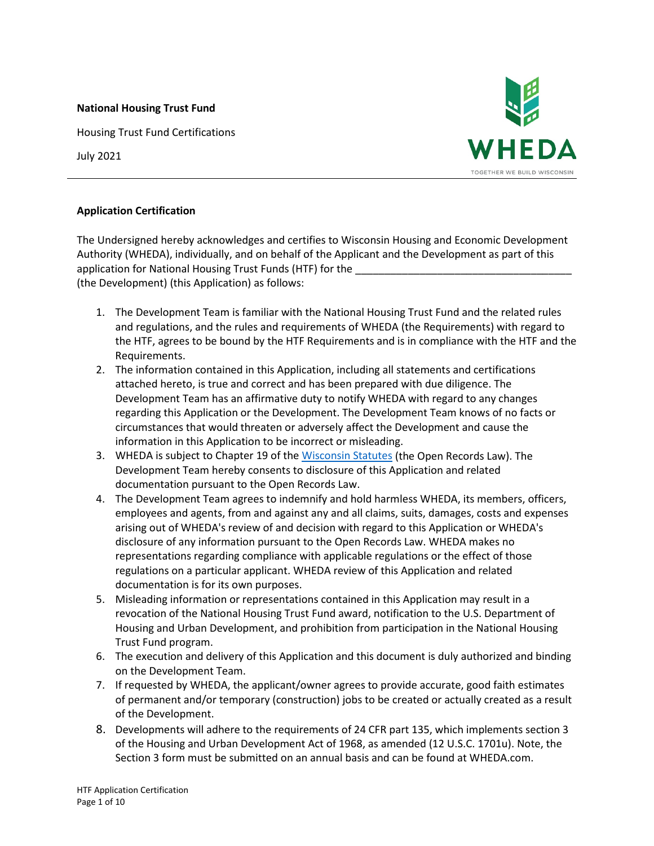#### **National Housing Trust Fund**

Housing Trust Fund Certifications

July 2021



### **Application Certification**

The Undersigned hereby acknowledges and certifies to Wisconsin Housing and Economic Development Authority (WHEDA), individually, and on behalf of the Applicant and the Development as part of this application for National Housing Trust Funds (HTF) for the (the Development) (this Application) as follows:

- 1. The Development Team is familiar with the National Housing Trust Fund and the related rules and regulations, and the rules and requirements of WHEDA (the Requirements) with regard to the HTF, agrees to be bound by the HTF Requirements and is in compliance with the HTF and the Requirements.
- 2. The information contained in this Application, including all statements and certifications attached hereto, is true and correct and has been prepared with due diligence. The Development Team has an affirmative duty to notify WHEDA with regard to any changes regarding this Application or the Development. The Development Team knows of no facts or circumstances that would threaten or adversely affect the Development and cause the information in this Application to be incorrect or misleading.
- 3. WHEDA is subject to Chapter 19 of th[e Wisconsin Statutes](http://www.legis.state.wi.us/rsb/stats.html) (the Open Records Law). The Development Team hereby consents to disclosure of this Application and related documentation pursuant to the Open Records Law.
- 4. The Development Team agrees to indemnify and hold harmless WHEDA, its members, officers, employees and agents, from and against any and all claims, suits, damages, costs and expenses arising out of WHEDA's review of and decision with regard to this Application or WHEDA's disclosure of any information pursuant to the Open Records Law. WHEDA makes no representations regarding compliance with applicable regulations or the effect of those regulations on a particular applicant. WHEDA review of this Application and related documentation is for its own purposes.
- 5. Misleading information or representations contained in this Application may result in a revocation of the National Housing Trust Fund award, notification to the U.S. Department of Housing and Urban Development, and prohibition from participation in the National Housing Trust Fund program.
- 6. The execution and delivery of this Application and this document is duly authorized and binding on the Development Team.
- 7. If requested by WHEDA, the applicant/owner agrees to provide accurate, good faith estimates of permanent and/or temporary (construction) jobs to be created or actually created as a result of the Development.
- 8. Developments will adhere to the requirements of 24 CFR part 135, which implements section 3 of the Housing and Urban Development Act of 1968, as amended (12 U.S.C. 1701u). Note, the Section 3 form must be submitted on an annual basis and can be found at WHEDA.com.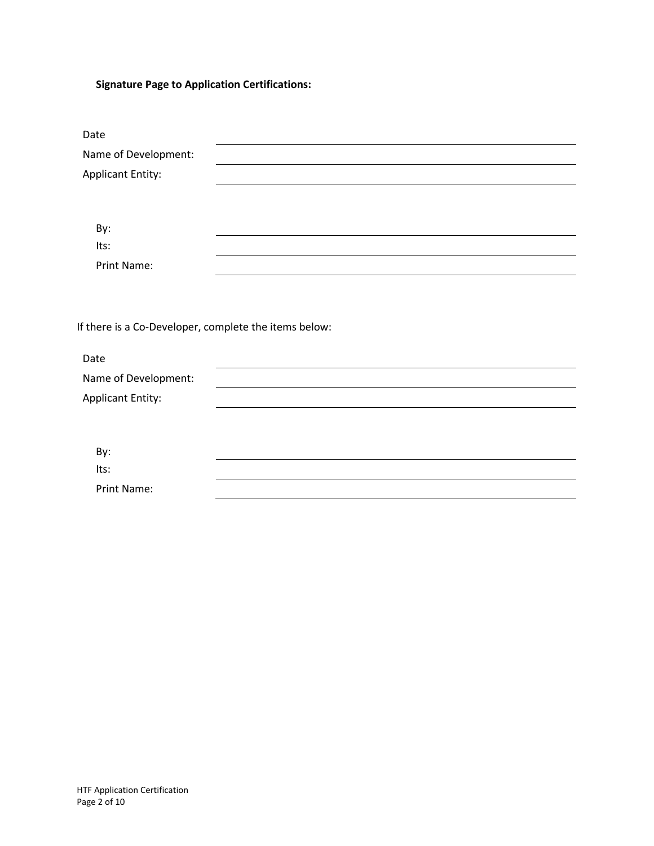# **Signature Page to Application Certifications:**

| Name of Development:                                                          |  |
|-------------------------------------------------------------------------------|--|
| <b>Applicant Entity:</b>                                                      |  |
|                                                                               |  |
|                                                                               |  |
| By:                                                                           |  |
| Its:                                                                          |  |
| Print Name:                                                                   |  |
|                                                                               |  |
|                                                                               |  |
|                                                                               |  |
|                                                                               |  |
|                                                                               |  |
| Date                                                                          |  |
| If there is a Co-Developer, complete the items below:<br>Name of Development: |  |
| <b>Applicant Entity:</b>                                                      |  |
|                                                                               |  |
|                                                                               |  |
| By:                                                                           |  |
| Its:                                                                          |  |
| <b>Print Name:</b>                                                            |  |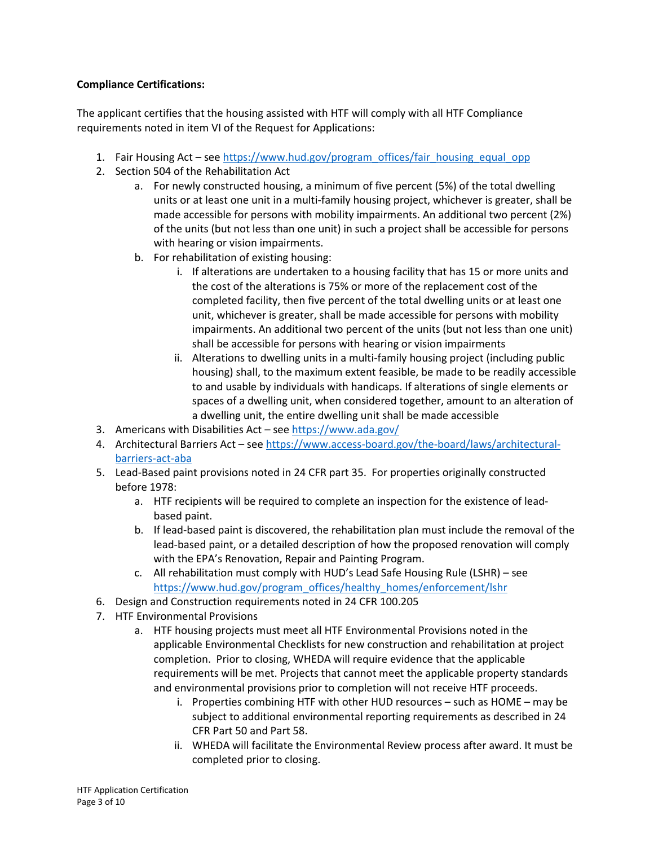## **Compliance Certifications:**

The applicant certifies that the housing assisted with HTF will comply with all HTF Compliance requirements noted in item VI of the Request for Applications:

- 1. Fair Housing Act see [https://www.hud.gov/program\\_offices/fair\\_housing\\_equal\\_opp](https://www.hud.gov/program_offices/fair_housing_equal_opp)
- 2. Section 504 of the Rehabilitation Act
	- a. For newly constructed housing, a minimum of five percent (5%) of the total dwelling units or at least one unit in a multi-family housing project, whichever is greater, shall be made accessible for persons with mobility impairments. An additional two percent (2%) of the units (but not less than one unit) in such a project shall be accessible for persons with hearing or vision impairments.
	- b. For rehabilitation of existing housing:
		- i. If alterations are undertaken to a housing facility that has 15 or more units and the cost of the alterations is 75% or more of the replacement cost of the completed facility, then five percent of the total dwelling units or at least one unit, whichever is greater, shall be made accessible for persons with mobility impairments. An additional two percent of the units (but not less than one unit) shall be accessible for persons with hearing or vision impairments
		- ii. Alterations to dwelling units in a multi-family housing project (including public housing) shall, to the maximum extent feasible, be made to be readily accessible to and usable by individuals with handicaps. If alterations of single elements or spaces of a dwelling unit, when considered together, amount to an alteration of a dwelling unit, the entire dwelling unit shall be made accessible
- 3. Americans with Disabilities Act se[e https://www.ada.gov/](https://www.ada.gov/)
- 4. Architectural Barriers Act see [https://www.access-board.gov/the-board/laws/architectural](https://www.access-board.gov/the-board/laws/architectural-barriers-act-aba)[barriers-act-aba](https://www.access-board.gov/the-board/laws/architectural-barriers-act-aba)
- 5. Lead-Based paint provisions noted in 24 CFR part 35. For properties originally constructed before 1978:
	- a. HTF recipients will be required to complete an inspection for the existence of leadbased paint.
	- b. If lead-based paint is discovered, the rehabilitation plan must include the removal of the lead-based paint, or a detailed description of how the proposed renovation will comply with the EPA's Renovation, Repair and Painting Program.
	- c. All rehabilitation must comply with HUD's Lead Safe Housing Rule (LSHR) see [https://www.hud.gov/program\\_offices/healthy\\_homes/enforcement/lshr](https://www.hud.gov/program_offices/healthy_homes/enforcement/lshr)
- 6. Design and Construction requirements noted in 24 CFR 100.205
- 7. HTF Environmental Provisions
	- a. HTF housing projects must meet all HTF Environmental Provisions noted in the applicable Environmental Checklists for new construction and rehabilitation at project completion. Prior to closing, WHEDA will require evidence that the applicable requirements will be met. Projects that cannot meet the applicable property standards and environmental provisions prior to completion will not receive HTF proceeds.
		- i. Properties combining HTF with other HUD resources such as HOME may be subject to additional environmental reporting requirements as described in 24 CFR Part 50 and Part 58.
		- ii. WHEDA will facilitate the Environmental Review process after award. It must be completed prior to closing.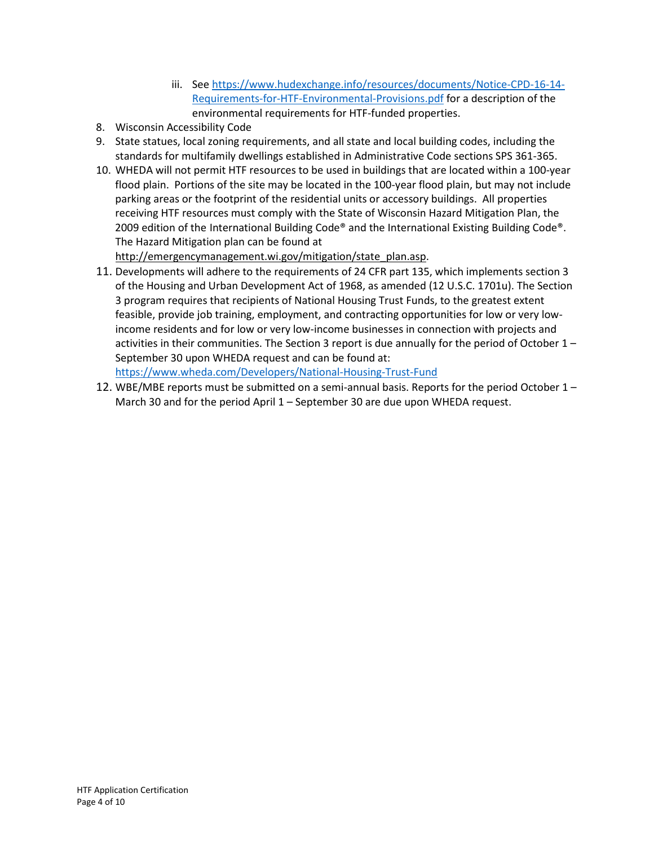- iii. Se[e https://www.hudexchange.info/resources/documents/Notice-CPD-16-14-](https://www.hudexchange.info/resources/documents/Notice-CPD-16-14-Requirements-for-HTF-Environmental-Provisions.pdf) [Requirements-for-HTF-Environmental-Provisions.pdf](https://www.hudexchange.info/resources/documents/Notice-CPD-16-14-Requirements-for-HTF-Environmental-Provisions.pdf) for a description of the environmental requirements for HTF-funded properties.
- 8. Wisconsin Accessibility Code
- 9. State statues, local zoning requirements, and all state and local building codes, including the standards for multifamily dwellings established in Administrative Code sections SPS 361-365.
- 10. WHEDA will not permit HTF resources to be used in buildings that are located within a 100-year flood plain. Portions of the site may be located in the 100-year flood plain, but may not include parking areas or the footprint of the residential units or accessory buildings. All properties receiving HTF resources must comply with the State of Wisconsin Hazard Mitigation Plan, the 2009 edition of the International Building Code® and the International Existing Building Code®. The Hazard Mitigation plan can be found at

[http://emergencymanagement.wi.gov/mitigation/state\\_plan.asp.](http://emergencymanagement.wi.gov/mitigation/state_plan.asp)

- 11. Developments will adhere to the requirements of 24 CFR part 135, which implements section 3 of the Housing and Urban Development Act of 1968, as amended (12 U.S.C. 1701u). The Section 3 program requires that recipients of National Housing Trust Funds, to the greatest extent feasible, provide job training, employment, and contracting opportunities for low or very lowincome residents and for low or very low-income businesses in connection with projects and activities in their communities. The Section 3 report is due annually for the period of October 1 – September 30 upon WHEDA request and can be found at: <https://www.wheda.com/Developers/National-Housing-Trust-Fund>
- 12. WBE/MBE reports must be submitted on a semi-annual basis. Reports for the period October 1 March 30 and for the period April 1 – September 30 are due upon WHEDA request.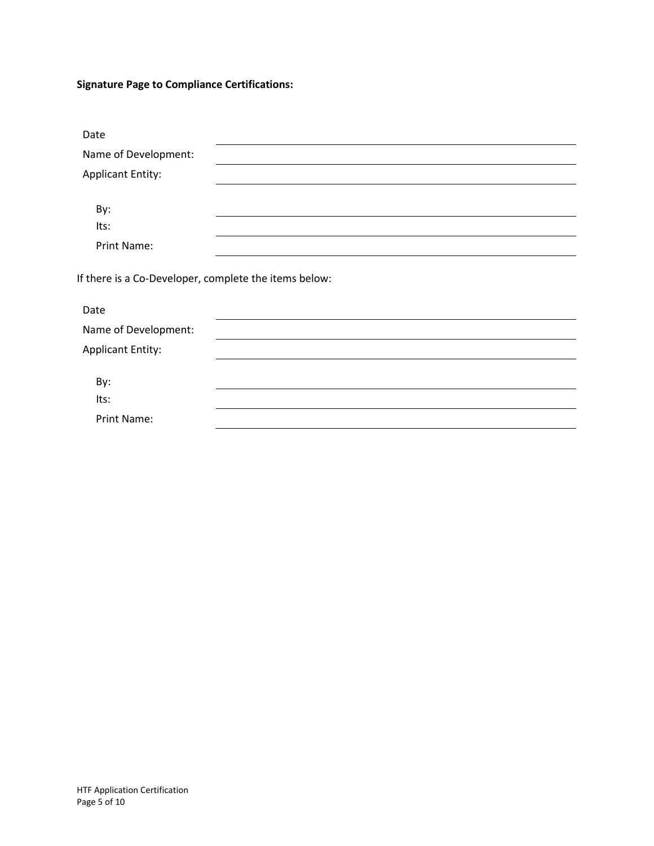**Signature Page to Compliance Certifications:**

| Date                                                  |  |
|-------------------------------------------------------|--|
| Name of Development:                                  |  |
| <b>Applicant Entity:</b>                              |  |
|                                                       |  |
| By:                                                   |  |
| Its:                                                  |  |
| Print Name:                                           |  |
| If there is a Co-Developer, complete the items below: |  |
| Date                                                  |  |
| Name of Development:                                  |  |
| <b>Applicant Entity:</b>                              |  |
|                                                       |  |
| By:<br>Its:                                           |  |
| Print Name:                                           |  |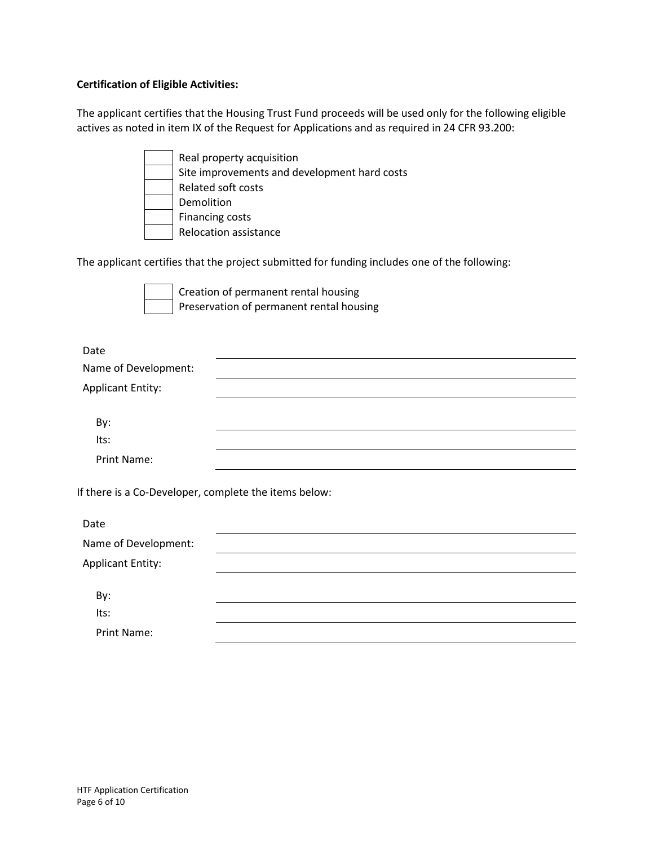### **Certification of Eligible Activities:**

The applicant certifies that the Housing Trust Fund proceeds will be used only for the following eligible actives as noted in item IX of the Request for Applications and as required in 24 CFR 93.200:

| Real property acquisition                    |
|----------------------------------------------|
| Site improvements and development hard costs |
| Related soft costs                           |
| Demolition                                   |
| <b>Financing costs</b>                       |
| Relocation assistance                        |

The applicant certifies that the project submitted for funding includes one of the following:

Creation of permanent rental housing Preservation of permanent rental housing

| Date                     |  |  |
|--------------------------|--|--|
| Name of Development:     |  |  |
| <b>Applicant Entity:</b> |  |  |
|                          |  |  |
| By:                      |  |  |
| Its:                     |  |  |
| Print Name:              |  |  |

If there is a Co-Developer, complete the items below:

| Date                     |  |  |
|--------------------------|--|--|
| Name of Development:     |  |  |
| <b>Applicant Entity:</b> |  |  |
|                          |  |  |
| By:                      |  |  |
| Its:                     |  |  |
| Print Name:              |  |  |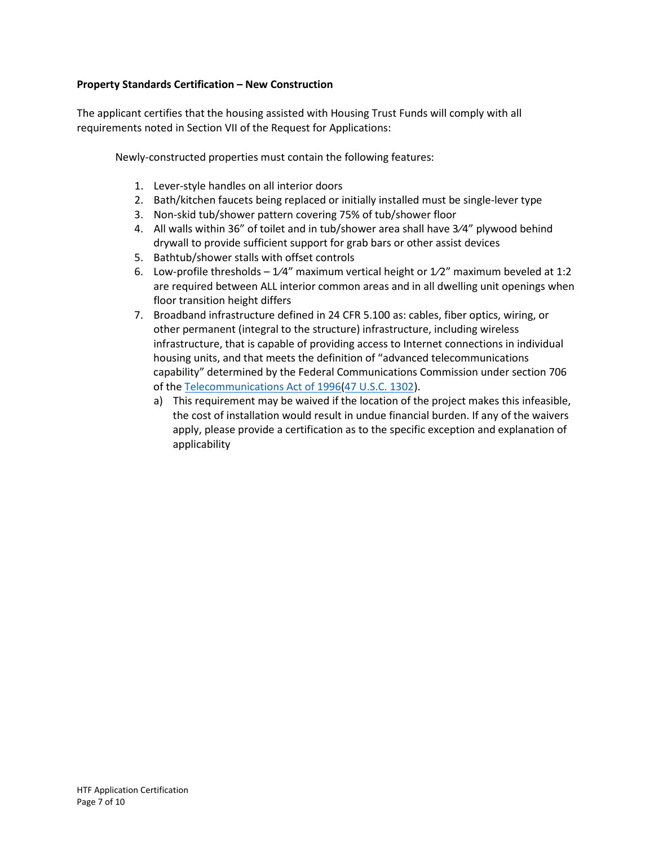### **Property Standards Certification – New Construction**

The applicant certifies that the housing assisted with Housing Trust Funds will comply with all requirements noted in Section VII of the Request for Applications:

Newly-constructed properties must contain the following features:

- 1. Lever-style handles on all interior doors
- 2. Bath/kitchen faucets being replaced or initially installed must be single-lever type
- 3. Non-skid tub/shower pattern covering 75% of tub/shower floor
- 4. All walls within 36" of toilet and in tub/shower area shall have 3⁄4" plywood behind drywall to provide sufficient support for grab bars or other assist devices
- 5. Bathtub/shower stalls with offset controls
- 6. Low-profile thresholds  $1/4$ " maximum vertical height or  $1/2$ " maximum beveled at 1:2 are required between ALL interior common areas and in all dwelling unit openings when floor transition height differs
- 7. Broadband infrastructure defined in 24 CFR 5.100 as: cables, fiber optics, wiring, or other permanent (integral to the structure) infrastructure, including wireless infrastructure, that is capable of providing access to Internet connections in individual housing units, and that meets the definition of "advanced telecommunications capability" determined by the Federal Communications Commission under section 706 of the [Telecommunications](https://www.law.cornell.edu/topn/telecommunications_act_of_1996) Act of 1996(47 [U.S.C.](https://www.law.cornell.edu/uscode/text/47/1302) 1302).
	- a) This requirement may be waived if the location of the project makes this infeasible, the cost of installation would result in undue financial burden. If any of the waivers apply, please provide a certification as to the specific exception and explanation of applicability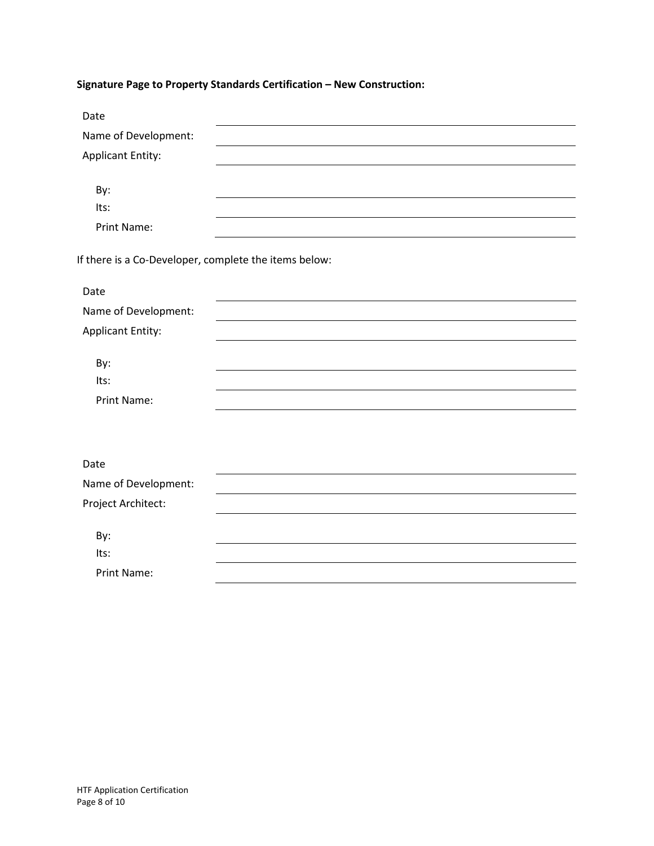# **Signature Page to Property Standards Certification – New Construction:**

| Date                                                  |  |
|-------------------------------------------------------|--|
| Name of Development:                                  |  |
| <b>Applicant Entity:</b>                              |  |
|                                                       |  |
| By:                                                   |  |
| Its:                                                  |  |
| Print Name:                                           |  |
| If there is a Co-Developer, complete the items below: |  |
| Date                                                  |  |
| Name of Development:                                  |  |
| <b>Applicant Entity:</b>                              |  |
| By:                                                   |  |
| Its:                                                  |  |
| <b>Print Name:</b>                                    |  |
|                                                       |  |
|                                                       |  |
| Date                                                  |  |
| Name of Development:                                  |  |
| Project Architect:                                    |  |
| By:                                                   |  |
| Its:                                                  |  |
| Print Name:                                           |  |
|                                                       |  |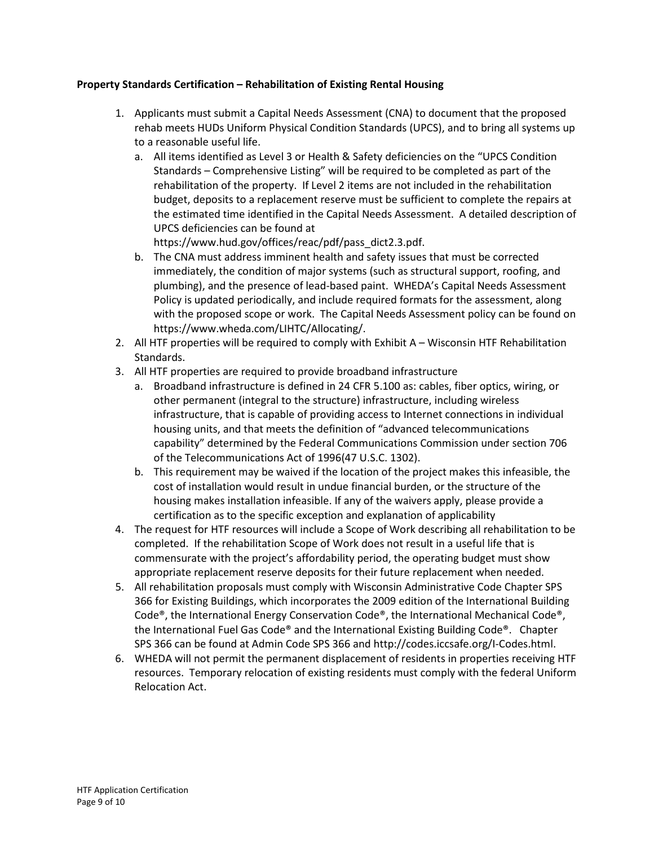## **Property Standards Certification – Rehabilitation of Existing Rental Housing**

- 1. Applicants must submit a Capital Needs Assessment (CNA) to document that the proposed rehab meets HUDs Uniform Physical Condition Standards (UPCS), and to bring all systems up to a reasonable useful life.
	- a. All items identified as Level 3 or Health & Safety deficiencies on the "UPCS Condition Standards – Comprehensive Listing" will be required to be completed as part of the rehabilitation of the property. If Level 2 items are not included in the rehabilitation budget, deposits to a replacement reserve must be sufficient to complete the repairs at the estimated time identified in the Capital Needs Assessment. A detailed description of UPCS deficiencies can be found at

https://www.hud.gov/offices/reac/pdf/pass\_dict2.3.pdf.

- b. The CNA must address imminent health and safety issues that must be corrected immediately, the condition of major systems (such as structural support, roofing, and plumbing), and the presence of lead-based paint. WHEDA's Capital Needs Assessment Policy is updated periodically, and include required formats for the assessment, along with the proposed scope or work. The Capital Needs Assessment policy can be found on https://www.wheda.com/LIHTC/Allocating/.
- 2. All HTF properties will be required to comply with Exhibit A Wisconsin HTF Rehabilitation Standards.
- 3. All HTF properties are required to provide broadband infrastructure
	- a. Broadband infrastructure is defined in 24 CFR 5.100 as: cables, fiber optics, wiring, or other permanent (integral to the structure) infrastructure, including wireless infrastructure, that is capable of providing access to Internet connections in individual housing units, and that meets the definition of "advanced telecommunications capability" determined by the Federal Communications Commission under section 706 of the Telecommunications Act of 1996(47 U.S.C. 1302).
	- b. This requirement may be waived if the location of the project makes this infeasible, the cost of installation would result in undue financial burden, or the structure of the housing makes installation infeasible. If any of the waivers apply, please provide a certification as to the specific exception and explanation of applicability
- 4. The request for HTF resources will include a Scope of Work describing all rehabilitation to be completed. If the rehabilitation Scope of Work does not result in a useful life that is commensurate with the project's affordability period, the operating budget must show appropriate replacement reserve deposits for their future replacement when needed.
- 5. All rehabilitation proposals must comply with Wisconsin Administrative Code Chapter SPS 366 for Existing Buildings, which incorporates the 2009 edition of the International Building Code®, the International Energy Conservation Code®, the International Mechanical Code®, the International Fuel Gas Code® and the International Existing Building Code®. Chapter SPS 366 can be found at Admin Code SPS 366 and http://codes.iccsafe.org/I-Codes.html.
- 6. WHEDA will not permit the permanent displacement of residents in properties receiving HTF resources. Temporary relocation of existing residents must comply with the federal Uniform Relocation Act.